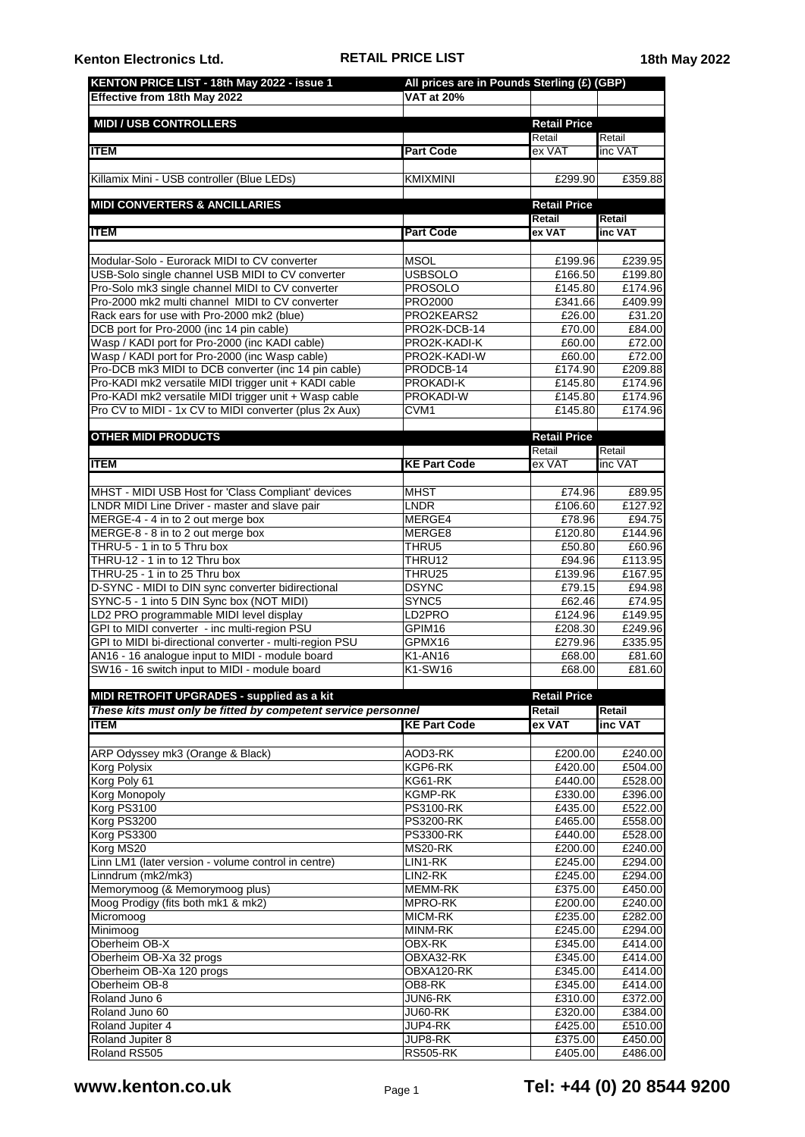| KENTON PRICE LIST - 18th May 2022 - issue 1<br><b>Effective from 18th May 2022</b>                         | All prices are in Pounds Sterling (£) (GBP)<br><b>VAT at 20%</b> |                               |                    |
|------------------------------------------------------------------------------------------------------------|------------------------------------------------------------------|-------------------------------|--------------------|
|                                                                                                            |                                                                  |                               |                    |
| <b>MIDI / USB CONTROLLERS</b>                                                                              |                                                                  | <b>Retail Price</b><br>Retail | Retail             |
| <b>ITEM</b>                                                                                                | <b>Part Code</b>                                                 | ex VAT                        | inc VAT            |
| Killamix Mini - USB controller (Blue LEDs)                                                                 | <b>KMIXMINI</b>                                                  | £299.90                       | £359.88            |
| <b>MIDI CONVERTERS &amp; ANCILLARIES</b>                                                                   |                                                                  | <b>Retail Price</b>           |                    |
| ITEM                                                                                                       | <b>Part Code</b>                                                 | Retail<br>ex VAT              | Retail<br>inc VAT  |
|                                                                                                            |                                                                  |                               |                    |
| Modular-Solo - Eurorack MIDI to CV converter                                                               | <b>MSOL</b>                                                      | £199.96                       | £239.95            |
| USB-Solo single channel USB MIDI to CV converter                                                           | <b>USBSOLO</b>                                                   | £166.50                       | £199.80            |
| Pro-Solo mk3 single channel MIDI to CV converter<br>Pro-2000 mk2 multi channel MIDI to CV converter        | <b>PROSOLO</b><br>PRO2000                                        | £145.80<br>£341.66            | £174.96<br>£409.99 |
| Rack ears for use with Pro-2000 mk2 (blue)                                                                 | PRO2KEARS2                                                       | £26.00                        | £31.20             |
| DCB port for Pro-2000 (inc 14 pin cable)                                                                   | PRO2K-DCB-14                                                     | £70.00                        | £84.00             |
| Wasp / KADI port for Pro-2000 (inc KADI cable)                                                             | PRO2K-KADI-K                                                     | £60.00                        | £72.00             |
| Wasp / KADI port for Pro-2000 (inc Wasp cable)<br>Pro-DCB mk3 MIDI to DCB converter (inc 14 pin cable)     | PRO2K-KADI-W<br>PRODCB-14                                        | £60.00<br>£174.90             | £72.00<br>£209.88  |
| Pro-KADI mk2 versatile MIDI trigger unit + KADI cable                                                      | PROKADI-K                                                        | £145.80                       | £174.96            |
| Pro-KADI mk2 versatile MIDI trigger unit + Wasp cable                                                      | PROKADI-W                                                        | £145.80                       | £174.96            |
| Pro CV to MIDI - 1x CV to MIDI converter (plus 2x Aux)                                                     | CVM1                                                             | £145.80                       | £174.96            |
|                                                                                                            |                                                                  |                               |                    |
| <b>OTHER MIDI PRODUCTS</b>                                                                                 |                                                                  | <b>Retail Price</b><br>Retail | Retail             |
| <b>ITEM</b>                                                                                                | <b>KE Part Code</b>                                              | ex VAT                        | inc VAT            |
|                                                                                                            |                                                                  |                               |                    |
| MHST - MIDI USB Host for 'Class Compliant' devices                                                         | <b>MHST</b>                                                      | £74.96                        | £89.95             |
| LNDR MIDI Line Driver - master and slave pair                                                              | <b>LNDR</b>                                                      | £106.60                       | £127.92            |
| MERGE-4 - 4 in to 2 out merge box                                                                          | MERGE4                                                           | £78.96                        | £94.75             |
| MERGE-8 - 8 in to 2 out merge box<br>THRU-5 - 1 in to 5 Thru box                                           | MERGE8<br>THRU5                                                  | £120.80<br>£50.80             | £144.96<br>£60.96  |
| THRU-12 - 1 in to 12 Thru box                                                                              | THRU12                                                           | £94.96                        | £113.95            |
| THRU-25 - 1 in to 25 Thru box                                                                              | THRU25                                                           | £139.96                       | £167.95            |
| D-SYNC - MIDI to DIN sync converter bidirectional                                                          | <b>DSYNC</b>                                                     | £79.15                        | £94.98             |
| SYNC-5 - 1 into 5 DIN Sync box (NOT MIDI)                                                                  | SYNC5                                                            | £62.46                        | £74.95             |
| LD2 PRO programmable MIDI level display                                                                    | LD <sub>2</sub> PRO                                              | £124.96                       | £149.95            |
| GPI to MIDI converter - inc multi-region PSU                                                               | GPIM16                                                           | £208.30                       | £249.96<br>£335.95 |
| GPI to MIDI bi-directional converter - multi-region PSU<br>AN16 - 16 analogue input to MIDI - module board | GPMX16<br>K1-AN16                                                | £279.96<br>£68.00             | £81.60             |
| SW16 - 16 switch input to MIDI - module board                                                              | K1-SW16                                                          | £68.00                        | £81.60             |
| MIDI RETROFIT UPGRADES - supplied as a kit                                                                 |                                                                  | <b>Retail Price</b>           |                    |
| These kits must only be fitted by competent service personnel                                              |                                                                  | Retail                        | Retail             |
| <b>ITEM</b>                                                                                                | <b>KE Part Code</b>                                              | ex VAT                        | inc VAT            |
| ARP Odyssey mk3 (Orange & Black)                                                                           | AOD3-RK                                                          | £200.00                       | £240.00            |
| Korg Polysix                                                                                               | KGP6-RK                                                          | £420.00                       | £504.00            |
| Korg Poly 61                                                                                               | KG61-RK                                                          | £440.00                       | £528.00            |
| Korg Monopoly                                                                                              | <b>KGMP-RK</b>                                                   | £330.00                       | £396.00            |
| Korg PS3100<br>Korg PS3200                                                                                 | <b>PS3100-RK</b><br><b>PS3200-RK</b>                             | £435.00<br>£465.00            | £522.00            |
| Korg PS3300                                                                                                | <b>PS3300-RK</b>                                                 | £440.00                       | £558.00<br>£528.00 |
| Korg MS20                                                                                                  | MS20-RK                                                          | £200.00                       | £240.00            |
| Linn LM1 (later version - volume control in centre)                                                        | LIN1-RK                                                          | £245.00                       | £294.00            |
| Linndrum (mk2/mk3)                                                                                         | LIN2-RK                                                          | £245.00                       | £294.00            |
| Memorymoog (& Memorymoog plus)                                                                             | <b>MEMM-RK</b>                                                   | £375.00                       | £450.00            |
| Moog Prodigy (fits both mk1 & mk2)<br>Micromoog                                                            | MPRO-RK<br>MICM-RK                                               | £200.00<br>£235.00            | £240.00<br>£282.00 |
| Minimoog                                                                                                   | <b>MINM-RK</b>                                                   | £245.00                       | £294.00            |
| Oberheim OB-X                                                                                              | OBX-RK                                                           | £345.00                       | £414.00            |
| Oberheim OB-Xa 32 progs                                                                                    | OBXA32-RK                                                        | £345.00                       | £414.00            |
| Oberheim OB-Xa 120 progs                                                                                   | OBXA120-RK                                                       | £345.00                       | £414.00            |
| Oberheim OB-8                                                                                              | OB8-RK                                                           | £345.00                       | £414.00            |
| Roland Juno 6<br>Roland Juno 60                                                                            | JUN6-RK<br>JU60-RK                                               | £310.00<br>£320.00            | £372.00<br>£384.00 |
| Roland Jupiter 4                                                                                           | JUP4-RK                                                          | £425.00                       | £510.00            |
| Roland Jupiter 8                                                                                           | JUP8-RK                                                          | £375.00                       | £450.00            |
| Roland RS505                                                                                               | <b>RS505-RK</b>                                                  | £405.00                       | £486.00            |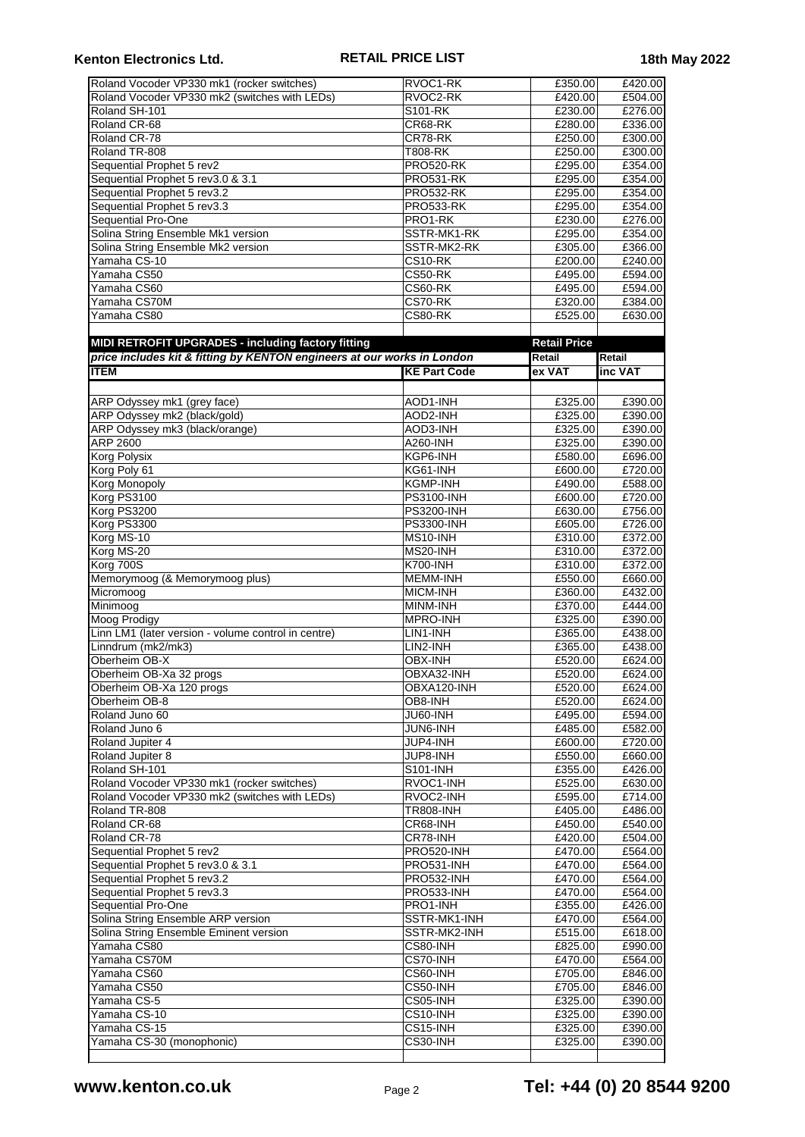## **Kenton Electronics Ltd. RETAIL PRICE LIST 18th May 2022**

| Roland Vocoder VP330 mk1 (rocker switches)                              | RVOC1-RK                             | £350.00             | £420.00            |
|-------------------------------------------------------------------------|--------------------------------------|---------------------|--------------------|
| Roland Vocoder VP330 mk2 (switches with LEDs)                           | RVOC2-RK                             | £420.00             | £504.00            |
| Roland SH-101                                                           | S101-RK                              | £230.00             | £276.00            |
| Roland CR-68                                                            | CR68-RK                              | £280.00             | £336.00            |
| Roland CR-78                                                            | CR78-RK                              | £250.00             | £300.00            |
| Roland TR-808                                                           | T808-RK                              | £250.00             | £300.00            |
| Sequential Prophet 5 rev2<br>Sequential Prophet 5 rev3.0 & 3.1          | <b>PRO520-RK</b><br><b>PRO531-RK</b> | £295.00<br>£295.00  | £354.00<br>£354.00 |
| Sequential Prophet 5 rev3.2                                             | <b>PRO532-RK</b>                     | £295.00             | £354.00            |
| Sequential Prophet 5 rev3.3                                             | <b>PRO533-RK</b>                     | £295.00             | £354.00            |
| Sequential Pro-One                                                      | PRO1-RK                              | £230.00             | £276.00            |
| Solina String Ensemble Mk1 version                                      | SSTR-MK1-RK                          | £295.00             | £354.00            |
| Solina String Ensemble Mk2 version                                      | SSTR-MK2-RK                          | £305.00             | £366.00            |
| Yamaha CS-10                                                            | CS10-RK                              | £200.00             | £240.00            |
| Yamaha CS50                                                             | CS50-RK                              | £495.00             | £594.00            |
| Yamaha CS60                                                             | CS60-RK                              | £495.00             | £594.00            |
| Yamaha CS70M                                                            | CS70-RK                              | £320.00             | £384.00            |
| Yamaha CS80                                                             | CS80-RK                              | £525.00             | £630.00            |
|                                                                         |                                      |                     |                    |
| MIDI RETROFIT UPGRADES - including factory fitting                      |                                      | <b>Retail Price</b> |                    |
| price includes kit & fitting by KENTON engineers at our works in London |                                      | Retail              | Retail             |
| <b>ITEM</b>                                                             | <b>KE Part Code</b>                  | ex VAT              | inc VAT            |
|                                                                         |                                      |                     |                    |
| ARP Odyssey mk1 (grey face)                                             | AOD1-INH                             | £325.00             | £390.00            |
| ARP Odyssey mk2 (black/gold)                                            | AOD2-INH                             | £325.00             | £390.00            |
| ARP Odyssey mk3 (black/orange)                                          | AOD3-INH                             | £325.00             | £390.00            |
| ARP 2600                                                                | A260-INH                             | £325.00             | £390.00            |
| Korg Polysix                                                            | KGP6-INH                             | £580.00             | £696.00            |
| Korg Poly 61                                                            | KG61-INH                             | £600.00             | £720.00            |
| <b>Korg Monopoly</b>                                                    | <b>KGMP-INH</b>                      | £490.00             | £588.00            |
| Korg PS3100<br>Korg PS3200                                              | PS3100-INH<br><b>PS3200-INH</b>      | £600.00<br>£630.00  | £720.00<br>£756.00 |
| Korg PS3300                                                             | <b>PS3300-INH</b>                    | £605.00             | £726.00            |
| Korg MS-10                                                              | MS10-INH                             | £310.00             | £372.00            |
| Korg MS-20                                                              | MS20-INH                             | £310.00             | £372.00            |
| Korg 700S                                                               | <b>K700-INH</b>                      | £310.00             | £372.00            |
| Memorymoog (& Memorymoog plus)                                          | <b>MEMM-INH</b>                      | £550.00             | £660.00            |
| Micromoog                                                               | <b>MICM-INH</b>                      | £360.00             | £432.00            |
| Minimoog                                                                | MINM-INH                             | £370.00             | £444.00            |
| Moog Prodigy                                                            | <b>MPRO-INH</b>                      | £325.00             | £390.00            |
| Linn LM1 (later version - volume control in centre)                     | LIN1-INH                             | £365.00             | £438.00            |
| Linndrum (mk2/mk3)                                                      | LIN2-INH                             | £365.00             | £438.00            |
| Oberheim OB-X                                                           | <b>OBX-INH</b>                       | E520.00             | £624.00            |
| Oberheim OB-Xa 32 progs                                                 | OBXA32-INH                           | £520.00             | £624.00            |
| Oberheim OB-Xa 120 progs                                                | OBXA120-INH                          | £520.00             | £624.00            |
| Oberheim OB-8                                                           | OB8-INH                              | £520.00             | £624.00            |
| Roland Juno 60                                                          | JU60-INH                             | £495.00             | £594.00            |
| Roland Juno 6                                                           | JUN6-INH                             | £485.00             | £582.00            |
| Roland Jupiter 4<br>Roland Jupiter 8                                    | JUP4-INH<br>JUP8-INH                 | £600.00             | £720.00<br>£660.00 |
| Roland SH-101                                                           | S101-INH                             | £550.00<br>£355.00  | £426.00            |
| Roland Vocoder VP330 mk1 (rocker switches)                              | RVOC1-INH                            | £525.00             | £630.00            |
| Roland Vocoder VP330 mk2 (switches with LEDs)                           | RVOC2-INH                            | £595.00             | £714.00            |
| Roland TR-808                                                           | <b>TR808-INH</b>                     | E405.00             | £486.00            |
| Roland CR-68                                                            | CR68-INH                             | £450.00             | £540.00            |
| Roland CR-78                                                            | CR78-INH                             | £420.00             | £504.00            |
| Sequential Prophet 5 rev2                                               | PRO520-INH                           | £470.00             | £564.00            |
| Sequential Prophet 5 rev3.0 & 3.1                                       | PRO531-INH                           | £470.00             | £564.00            |
| Sequential Prophet 5 rev3.2                                             | PRO532-INH                           | £470.00             | £564.00            |
| Sequential Prophet 5 rev3.3                                             | PRO533-INH                           | £470.00             | £564.00            |
| Sequential Pro-One                                                      | PRO1-INH                             | £355.00             | £426.00            |
| Solina String Ensemble ARP version                                      | SSTR-MK1-INH                         | £470.00             | £564.00            |
| Solina String Ensemble Eminent version                                  | SSTR-MK2-INH                         | £515.00             | £618.00            |
| Yamaha CS80                                                             | $\overline{\text{CS}}80$ -INH        | £825.00             | £990.00            |
| Yamaha CS70M                                                            | CS70-INH                             | £470.00             | £564.00            |
| Yamaha CS60                                                             | CS60-INH                             | £705.00             | £846.00            |
| Yamaha CS50                                                             | CS50-INH                             | £705.00             | £846.00            |
| Yamaha CS-5                                                             | CS05-INH                             | £325.00             | £390.00            |
| Yamaha CS-10                                                            | CS10-INH                             | £325.00             | £390.00            |
| Yamaha CS-15<br>Yamaha CS-30 (monophonic)                               | CS15-INH<br>CS30-INH                 | £325.00<br>£325.00  | £390.00<br>£390.00 |
|                                                                         |                                      |                     |                    |
|                                                                         |                                      |                     |                    |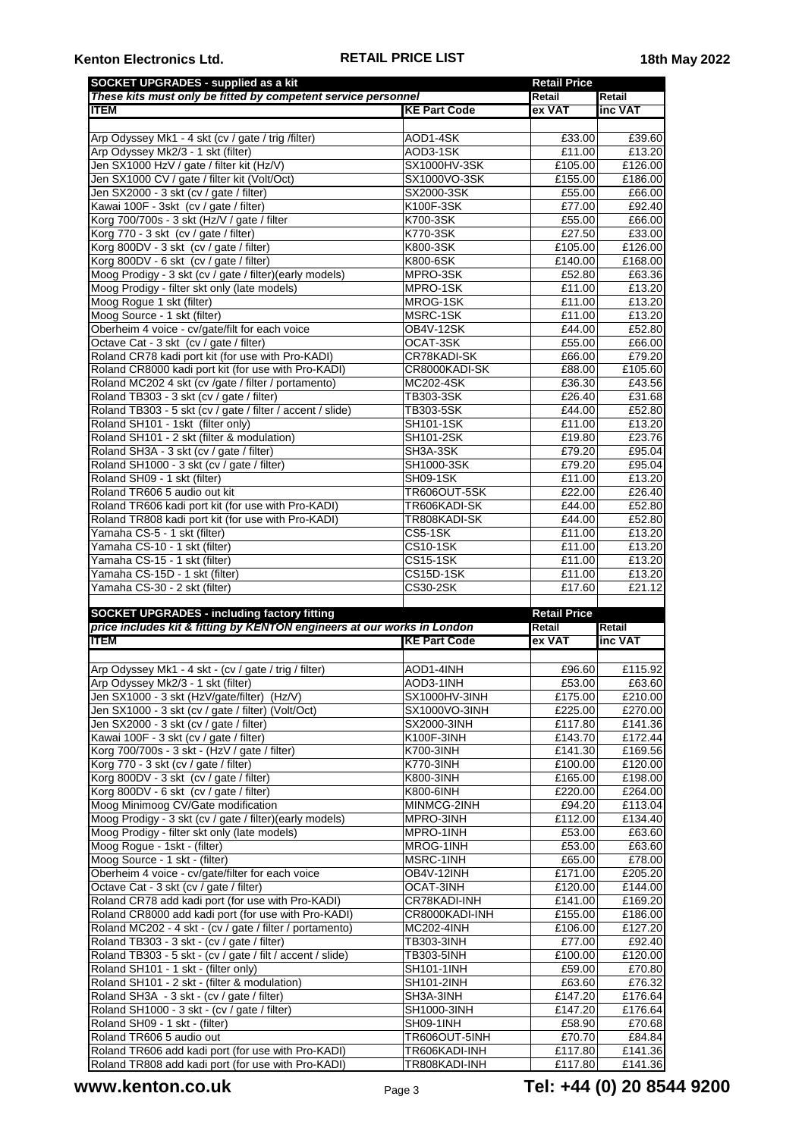| <b>SOCKET UPGRADES - supplied as a kit</b>                                                               |                                 | <b>Retail Price</b>  |                                                                                                                                                                                                                                                               |
|----------------------------------------------------------------------------------------------------------|---------------------------------|----------------------|---------------------------------------------------------------------------------------------------------------------------------------------------------------------------------------------------------------------------------------------------------------|
| These kits must only be fitted by competent service personnel                                            |                                 | Retail               | Retail                                                                                                                                                                                                                                                        |
| <b>ITEM</b>                                                                                              | <b>KE Part Code</b>             | ex VAT               | inc VAT                                                                                                                                                                                                                                                       |
|                                                                                                          |                                 |                      |                                                                                                                                                                                                                                                               |
| Arp Odyssey Mk1 - 4 skt (cv / gate / trig /filter)                                                       | AOD1-4SK                        | £33.00               | £39.60                                                                                                                                                                                                                                                        |
| Arp Odyssey Mk2/3 - 1 skt (filter)<br>Jen SX1000 HzV / gate / filter kit (Hz/V)                          | AOD3-1SK<br><b>SX1000HV-3SK</b> | £11.00               | £13.20                                                                                                                                                                                                                                                        |
|                                                                                                          | SX1000VO-3SK                    | £105.00<br>£155.00   | £126.00<br>£186.00                                                                                                                                                                                                                                            |
| Jen SX1000 CV / gate / filter kit (Volt/Oct)<br>Jen SX2000 - 3 skt (cv / gate / filter)                  | SX2000-3SK                      | £55.00               | £66.00                                                                                                                                                                                                                                                        |
| Kawai 100F - 3skt (cv / gate / filter)                                                                   | K100F-3SK                       | £77.00               | £92.40                                                                                                                                                                                                                                                        |
| Korg 700/700s - 3 skt (Hz/V / gate / filter                                                              | K700-3SK                        | E55.00               | £66.00                                                                                                                                                                                                                                                        |
| Korg 770 - 3 skt (cv / gate / filter)                                                                    | K770-3SK                        | £27.50               | £33.00                                                                                                                                                                                                                                                        |
| Korg 800DV - 3 skt (cv / gate / filter)                                                                  | K800-3SK                        | £105.00              | £126.00                                                                                                                                                                                                                                                       |
| Korg 800DV - 6 skt (cv / gate / filter)                                                                  | K800-6SK                        | £140.00              | £168.00                                                                                                                                                                                                                                                       |
| Moog Prodigy - 3 skt (cv / gate / filter)(early models)                                                  | MPRO-3SK                        | £52.80               | £63.36                                                                                                                                                                                                                                                        |
| Moog Prodigy - filter skt only (late models)                                                             | MPRO-1SK                        | £11.00               | £13.20                                                                                                                                                                                                                                                        |
| Moog Rogue 1 skt (filter)                                                                                | MROG-1SK                        | £11.00               | £13.20                                                                                                                                                                                                                                                        |
| Moog Source - 1 skt (filter)                                                                             | MSRC-1SK                        | £11.00               | £13.20                                                                                                                                                                                                                                                        |
| Oberheim 4 voice - cv/gate/filt for each voice                                                           | OB4V-12SK                       | £44.00               | £52.80                                                                                                                                                                                                                                                        |
| Octave Cat - 3 skt (cv / gate / filter)                                                                  | OCAT-3SK                        | £55.00               | £66.00                                                                                                                                                                                                                                                        |
| Roland CR78 kadi port kit (for use with Pro-KADI)                                                        | CR78KADI-SK                     | £66.00               | £79.20                                                                                                                                                                                                                                                        |
| Roland CR8000 kadi port kit (for use with Pro-KADI)                                                      | CR8000KADI-SK                   | £88.00               | £105.60                                                                                                                                                                                                                                                       |
| Roland MC202 4 skt (cv /gate / filter / portamento)                                                      | MC202-4SK                       | £36.30               | £43.56                                                                                                                                                                                                                                                        |
| Roland TB303 - 3 skt (cv / gate / filter)                                                                | TB303-3SK                       | £26.40               | £31.68                                                                                                                                                                                                                                                        |
| Roland TB303 - 5 skt (cv / gate / filter / accent / slide)                                               | TB303-5SK                       | £44.00               | £52.80                                                                                                                                                                                                                                                        |
| Roland SH101 - 1skt (filter only)                                                                        | SH101-1SK                       | £11.00               | £13.20                                                                                                                                                                                                                                                        |
| Roland SH101 - 2 skt (filter & modulation)                                                               | SH101-2SK                       | £19.80               | £23.76                                                                                                                                                                                                                                                        |
| Roland SH3A - 3 skt (cv / gate / filter)                                                                 | SH3A-3SK                        | £79.20               | £95.04                                                                                                                                                                                                                                                        |
| Roland SH1000 - 3 skt (cv / gate / filter)                                                               | SH1000-3SK                      | £79.20               | £95.04                                                                                                                                                                                                                                                        |
| Roland SH09 - 1 skt (filter)                                                                             | SH09-1SK                        | £11.00               | £13.20                                                                                                                                                                                                                                                        |
| Roland TR606 5 audio out kit                                                                             | <b>TR606OUT-5SK</b>             | £22.00               | £26.40                                                                                                                                                                                                                                                        |
| Roland TR606 kadi port kit (for use with Pro-KADI)                                                       | TR606KADI-SK                    | £44.00               | £52.80                                                                                                                                                                                                                                                        |
| Roland TR808 kadi port kit (for use with Pro-KADI)                                                       | TR808KADI-SK                    | £44.00               | £52.80                                                                                                                                                                                                                                                        |
| Yamaha CS-5 - 1 skt (filter)                                                                             | CS5-1SK                         | £11.00               | £13.20                                                                                                                                                                                                                                                        |
| Yamaha CS-10 - 1 skt (filter)                                                                            | <b>CS10-1SK</b>                 | £11.00               | £13.20                                                                                                                                                                                                                                                        |
| Yamaha CS-15 - 1 skt (filter)                                                                            | <b>CS15-1SK</b>                 | £11.00               | £13.20                                                                                                                                                                                                                                                        |
| Yamaha CS-15D - 1 skt (filter)                                                                           | $\overline{CS15D-1}$ SK         | £11.00               | £13.20                                                                                                                                                                                                                                                        |
|                                                                                                          |                                 |                      |                                                                                                                                                                                                                                                               |
| Yamaha CS-30 - 2 skt (filter)                                                                            | CS30-2SK                        | £17.60               |                                                                                                                                                                                                                                                               |
|                                                                                                          |                                 |                      | £21.12                                                                                                                                                                                                                                                        |
| <b>SOCKET UPGRADES - including factory fitting</b>                                                       |                                 | <b>Retail Price</b>  |                                                                                                                                                                                                                                                               |
| price includes kit & fitting by KENTON engineers at our works in London                                  |                                 | Retail               | Retail                                                                                                                                                                                                                                                        |
| <b>ITEM</b>                                                                                              | <b>KE Part Code</b>             | ex VAT               | inc VAT                                                                                                                                                                                                                                                       |
|                                                                                                          | AOD1-4INH                       | £96.60               |                                                                                                                                                                                                                                                               |
| Arp Odyssey Mk1 - 4 skt - (cv / gate / trig / filter)                                                    | AOD3-1INH                       |                      |                                                                                                                                                                                                                                                               |
| Arp Odyssey Mk2/3 - 1 skt (filter)                                                                       | SX1000HV-3INH                   | £53.00<br>£175.00    |                                                                                                                                                                                                                                                               |
| Jen SX1000 - 3 skt (HzV/gate/filter) (Hz/V)<br>Jen SX1000 - 3 skt (cv / gate / filter) (Volt/Oct)        | SX1000VO-3INH                   | £225.00              |                                                                                                                                                                                                                                                               |
|                                                                                                          | SX2000-3INH                     | £117.80              |                                                                                                                                                                                                                                                               |
| Jen SX2000 - 3 skt (cv / gate / filter)<br>Kawai 100F - 3 skt (cv / gate / filter)                       | K100F-3INH                      | £143.70              |                                                                                                                                                                                                                                                               |
| Korg 700/700s - 3 skt - (HzV / gate / filter)                                                            | K700-3INH                       | £141.30              |                                                                                                                                                                                                                                                               |
| Korg 770 - 3 skt (cv / gate / filter)                                                                    | K770-3INH                       | £100.00              |                                                                                                                                                                                                                                                               |
| Korg 800DV - 3 skt (cv / gate / filter)                                                                  | K800-3INH                       | £165.00              |                                                                                                                                                                                                                                                               |
| Korg 800DV - 6 skt (cv / gate / filter)                                                                  | K800-6INH                       | £220.00              |                                                                                                                                                                                                                                                               |
| Moog Minimoog CV/Gate modification                                                                       | MINMCG-2INH                     | £94.20               | £113.04                                                                                                                                                                                                                                                       |
| Moog Prodigy - 3 skt (cv / gate / filter)(early models)                                                  | MPRO-3INH                       | £112.00              |                                                                                                                                                                                                                                                               |
| Moog Prodigy - filter skt only (late models)                                                             | MPRO-1INH                       | £53.00               |                                                                                                                                                                                                                                                               |
| Moog Rogue - 1skt - (filter)                                                                             | MROG-1INH                       | £53.00               |                                                                                                                                                                                                                                                               |
| Moog Source - 1 skt - (filter)                                                                           | MSRC-1INH                       | £65.00               |                                                                                                                                                                                                                                                               |
| Oberheim 4 voice - cv/gate/filter for each voice                                                         | OB4V-12INH                      | £171.00              |                                                                                                                                                                                                                                                               |
| Octave Cat - 3 skt (cv / gate / filter)                                                                  | OCAT-3INH                       | £120.00              |                                                                                                                                                                                                                                                               |
| Roland CR78 add kadi port (for use with Pro-KADI)                                                        | CR78KADI-INH                    | £141.00              |                                                                                                                                                                                                                                                               |
| Roland CR8000 add kadi port (for use with Pro-KADI)                                                      | CR8000KADI-INH                  | £155.00              |                                                                                                                                                                                                                                                               |
| Roland MC202 - 4 skt - (cv / gate / filter / portamento)                                                 | <b>MC202-4INH</b>               | £106.00              |                                                                                                                                                                                                                                                               |
| Roland TB303 - 3 skt - (cv / gate / filter)                                                              | TB303-3INH                      | $\overline{E}$ 77.00 |                                                                                                                                                                                                                                                               |
| Roland TB303 - 5 skt - (cv / gate / filt / accent / slide)                                               | <b>TB303-5INH</b>               | £100.00              |                                                                                                                                                                                                                                                               |
| Roland SH101 - 1 skt - (filter only)                                                                     | <b>SH101-1INH</b>               | £59.00               |                                                                                                                                                                                                                                                               |
| Roland SH101 - 2 skt - (filter & modulation)                                                             | <b>SH101-2INH</b>               | £63.60               |                                                                                                                                                                                                                                                               |
| Roland SH3A - 3 skt - (cv / gate / filter)                                                               | SH3A-3INH                       | £147.20              | £115.92<br>£63.60<br>£210.00<br>£270.00<br>£141.36<br>£172.44<br>£169.56<br>£120.00<br>£198.00<br>£264.00<br>£134.40<br>£63.60<br>£63.60<br>£78.00<br>£205.20<br>£144.00<br>£169.20<br>£186.00<br>£127.20<br>£92.40<br>£120.00<br>£70.80<br>£76.32<br>£176.64 |
| Roland SH1000 - 3 skt - (cv / gate / filter)                                                             | SH1000-3INH                     | £147.20              |                                                                                                                                                                                                                                                               |
| Roland SH09 - 1 skt - (filter)                                                                           | SH09-1INH                       | £58.90               |                                                                                                                                                                                                                                                               |
| Roland TR606 5 audio out                                                                                 | TR606OUT-5INH                   | £70.70               |                                                                                                                                                                                                                                                               |
| Roland TR606 add kadi port (for use with Pro-KADI)<br>Roland TR808 add kadi port (for use with Pro-KADI) | TR606KADI-INH<br>TR808KADI-INH  | £117.80<br>£117.80   | £176.64<br>£70.68<br>£84.84<br>£141.36<br>£141.36                                                                                                                                                                                                             |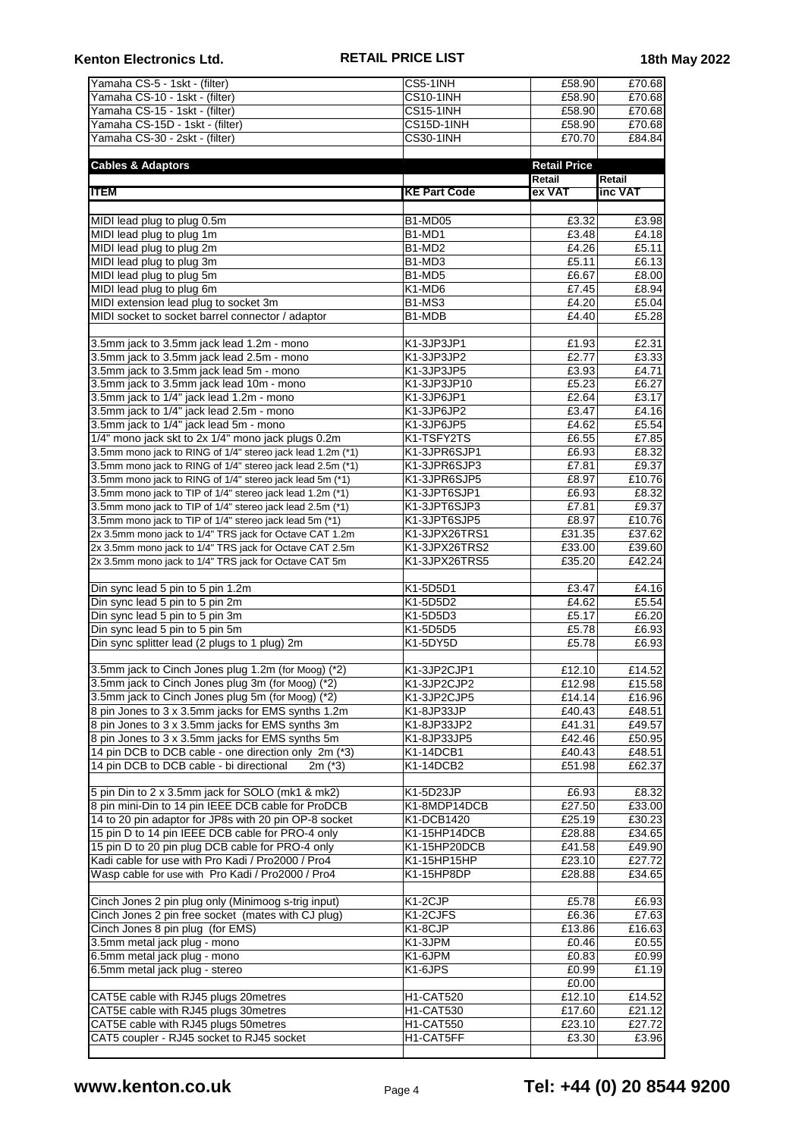| Yamaha CS-5 - 1skt - (filter)                              | CS5-1INH                         | £58.90              | £70.68  |
|------------------------------------------------------------|----------------------------------|---------------------|---------|
| Yamaha CS-10 - 1skt - (filter)                             | <b>CS10-1INH</b>                 | £58.90              | E70.68  |
| Yamaha CS-15 - 1skt - (filter)                             | <b>CS15-1INH</b>                 | £58.90              | £70.68  |
| Yamaha CS-15D - 1skt - (filter)                            | CS15D-1INH                       | £58.90              | £70.68  |
| Yamaha CS-30 - 2skt - (filter)                             | <b>CS30-1INH</b>                 | £70.70              | £84.84  |
|                                                            |                                  |                     |         |
| <b>Cables &amp; Adaptors</b>                               |                                  | <b>Retail Price</b> |         |
|                                                            |                                  | Retail              | Retail  |
| <b>ITEM</b>                                                | <b>KE Part Code</b>              | ex VAT              | inc VAT |
|                                                            |                                  |                     |         |
| MIDI lead plug to plug 0.5m                                | <b>B1-MD05</b>                   | £3.32               | £3.98   |
| MIDI lead plug to plug 1m                                  | B1-MD1                           | £3.48               | £4.18   |
| MIDI lead plug to plug 2m                                  | B1-MD2                           | £4.26               | £5.11   |
| MIDI lead plug to plug 3m                                  | B <sub>1</sub> -M <sub>D</sub> 3 | £5.11               | £6.13   |
|                                                            |                                  |                     |         |
| MIDI lead plug to plug 5m                                  | B1-MD5                           | £6.67               | £8.00   |
| MIDI lead plug to plug 6m                                  | K1-MD6                           | £7.45               | £8.94   |
| MIDI extension lead plug to socket 3m                      | <b>B1-MS3</b>                    | £4.20               | £5.04   |
| MIDI socket to socket barrel connector / adaptor           | B1-MDB                           | £4.40               | £5.28   |
|                                                            |                                  |                     |         |
| 3.5mm jack to 3.5mm jack lead 1.2m - mono                  | K1-3JP3JP1                       | £1.93               | £2.31   |
| 3.5mm jack to 3.5mm jack lead 2.5m - mono                  | K1-3JP3JP2                       | £2.77               | £3.33   |
| 3.5mm jack to 3.5mm jack lead 5m - mono                    | K1-3JP3JP5                       | £3.93               | £4.71   |
| 3.5mm jack to 3.5mm jack lead 10m - mono                   | K1-3JP3JP10                      | £5.23               | £6.27   |
| 3.5mm jack to 1/4" jack lead 1.2m - mono                   | K1-3JP6JP1                       | £2.64               | £3.17   |
| 3.5mm jack to 1/4" jack lead 2.5m - mono                   | K1-3JP6JP2                       | £3.47               | £4.16   |
| 3.5mm jack to 1/4" jack lead 5m - mono                     | K1-3JP6JP5                       | £4.62               | £5.54   |
| 1/4" mono jack skt to 2x 1/4" mono jack plugs 0.2m         | K1-TSFY2TS                       | £6.55               | £7.85   |
| 3.5mm mono jack to RING of 1/4" stereo jack lead 1.2m (*1) | K1-3JPR6SJP1                     | £6.93               | £8.32   |
| 3.5mm mono jack to RING of 1/4" stereo jack lead 2.5m (*1) | K1-3JPR6SJP3                     | £7.81               | £9.37   |
| 3.5mm mono jack to RING of 1/4" stereo jack lead 5m (*1)   | K1-3JPR6SJP5                     | £8.97               | £10.76  |
| 3.5mm mono jack to TIP of 1/4" stereo jack lead 1.2m (*1)  | K1-3JPT6SJP1                     | £6.93               | £8.32   |
| 3.5mm mono jack to TIP of 1/4" stereo jack lead 2.5m (*1)  | K1-3JPT6SJP3                     | £7.81               | £9.37   |
| 3.5mm mono jack to TIP of 1/4" stereo jack lead 5m (*1)    | K1-3JPT6SJP5                     | £8.97               | £10.76  |
| 2x 3.5mm mono jack to 1/4" TRS jack for Octave CAT 1.2m    | K1-3JPX26TRS1                    | £31.35              | £37.62  |
| 2x 3.5mm mono jack to 1/4" TRS jack for Octave CAT 2.5m    | K1-3JPX26TRS2                    | £33.00              | £39.60  |
| 2x 3.5mm mono jack to 1/4" TRS jack for Octave CAT 5m      | K1-3JPX26TRS5                    | £35.20              | £42.24  |
|                                                            |                                  |                     |         |
| Din sync lead 5 pin to 5 pin 1.2m                          | K1-5D5D1                         | £3.47               | £4.16   |
|                                                            | K1-5D5D2                         | £4.62               | £5.54   |
| Din sync lead 5 pin to 5 pin 2m                            |                                  | £5.17               |         |
| Din sync lead 5 pin to 5 pin 3m                            | K1-5D5D3                         |                     | £6.20   |
| Din sync lead 5 pin to 5 pin 5m                            | K1-5D5D5                         | £5.78               | £6.93   |
| Din sync splitter lead (2 plugs to 1 plug) 2m              | K1-5DY5D                         | £5.78               | £6.93   |
| 3.5mm jack to Cinch Jones plug 1.2m (for Moog) (*2)        |                                  |                     |         |
|                                                            | K1-3JP2CJP1                      | £12.10              | £14.52  |
| 3.5mm jack to Cinch Jones plug 3m (for Moog) (*2)          | K1-3JP2CJP2                      | £12.98              | £15.58  |
| 3.5mm jack to Cinch Jones plug 5m (for Moog) (*2)          | K1-3JP2CJP5                      | £14.14              | £16.96  |
| 8 pin Jones to 3 x 3.5mm jacks for EMS synths 1.2m         | K1-8JP33JP                       | £40.43              | £48.51  |
| 8 pin Jones to 3 x 3.5mm jacks for EMS synths 3m           | K1-8JP33JP2                      | £41.31              | £49.57  |
| 8 pin Jones to 3 x 3.5mm jacks for EMS synths 5m           | K1-8JP33JP5                      | £42.46              | £50.95  |
| 14 pin DCB to DCB cable - one direction only 2m (*3)       | K1-14DCB1                        | £40.43              | £48.51  |
| 14 pin DCB to DCB cable - bi directional<br>$2m$ ( $*3$ )  | K1-14DCB2                        | £51.98              | £62.37  |
|                                                            |                                  |                     |         |
| 5 pin Din to 2 x 3.5mm jack for SOLO (mk1 & mk2)           | K1-5D23JP                        | £6.93               | £8.32   |
| 8 pin mini-Din to 14 pin IEEE DCB cable for ProDCB         | K1-8MDP14DCB                     | £27.50              | £33.00  |
| 14 to 20 pin adaptor for JP8s with 20 pin OP-8 socket      | K1-DCB1420                       | £25.19              | £30.23  |
| 15 pin D to 14 pin IEEE DCB cable for PRO-4 only           | K1-15HP14DCB                     | £28.88              | £34.65  |
| 15 pin D to 20 pin plug DCB cable for PRO-4 only           | K1-15HP20DCB                     | E41.58              | £49.90  |
| Kadi cable for use with Pro Kadi / Pro2000 / Pro4          | K1-15HP15HP                      | £23.10              | £27.72  |
| Wasp cable for use with Pro Kadi / Pro2000 / Pro4          | K1-15HP8DP                       | £28.88              | £34.65  |
|                                                            |                                  |                     |         |
| Cinch Jones 2 pin plug only (Minimoog s-trig input)        | K1-2CJP                          | £5.78               | £6.93   |
| Cinch Jones 2 pin free socket (mates with CJ plug)         | K1-2CJFS                         | £6.36               | £7.63   |
| Cinch Jones 8 pin plug (for EMS)                           | K1-8CJP                          | £13.86              | £16.63  |
| 3.5mm metal jack plug - mono                               | K1-3JPM                          | £0.46               | £0.55   |
| 6.5mm metal jack plug - mono                               | K1-6JPM                          | £0.83               | £0.99   |
| 6.5mm metal jack plug - stereo                             | K1-6JPS                          | £0.99               | £1.19   |
|                                                            |                                  | £0.00               |         |
| CAT5E cable with RJ45 plugs 20metres                       | <b>H1-CAT520</b>                 | £12.10              | £14.52  |
| CAT5E cable with RJ45 plugs 30metres                       | <b>H1-CAT530</b>                 | £17.60              | £21.12  |
| CAT5E cable with RJ45 plugs 50metres                       | <b>H1-CAT550</b>                 | £23.10              | £27.72  |
| CAT5 coupler - RJ45 socket to RJ45 socket                  |                                  | £3.30               | £3.96   |
|                                                            | H1-CAT5FF                        |                     |         |
|                                                            |                                  |                     |         |